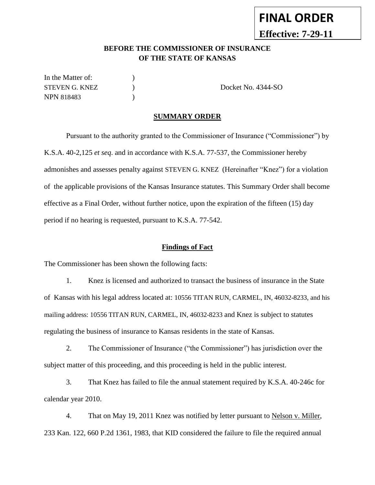# **FINAL ORDER Effective: 7-29-11**

## **BEFORE THE COMMISSIONER OF INSURANCE OF THE STATE OF KANSAS**

In the Matter of:  $\qquad \qquad$  ) STEVEN G. KNEZ  $\qquad \qquad$  Docket No. 4344-SO NPN 818483 )

#### **SUMMARY ORDER**

Pursuant to the authority granted to the Commissioner of Insurance ("Commissioner") by K.S.A. 40-2,125 *et seq*. and in accordance with K.S.A. 77-537, the Commissioner hereby admonishes and assesses penalty against STEVEN G. KNEZ (Hereinafter "Knez") for a violation of the applicable provisions of the Kansas Insurance statutes. This Summary Order shall become effective as a Final Order, without further notice, upon the expiration of the fifteen (15) day period if no hearing is requested, pursuant to K.S.A. 77-542.

#### **Findings of Fact**

The Commissioner has been shown the following facts:

1. Knez is licensed and authorized to transact the business of insurance in the State of Kansas with his legal address located at: 10556 TITAN RUN, CARMEL, IN, 46032-8233, and his mailing address: 10556 TITAN RUN, CARMEL, IN, 46032-8233 and Knez is subject to statutes regulating the business of insurance to Kansas residents in the state of Kansas.

2. The Commissioner of Insurance ("the Commissioner") has jurisdiction over the subject matter of this proceeding, and this proceeding is held in the public interest.

3. That Knez has failed to file the annual statement required by K.S.A. 40-246c for calendar year 2010.

4. That on May 19, 2011 Knez was notified by letter pursuant to Nelson v. Miller, 233 Kan. 122, 660 P.2d 1361, 1983, that KID considered the failure to file the required annual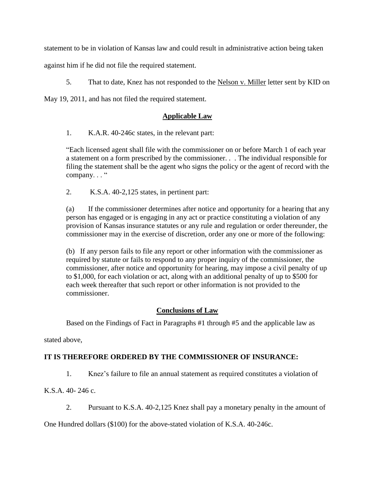statement to be in violation of Kansas law and could result in administrative action being taken

against him if he did not file the required statement.

5. That to date, Knez has not responded to the Nelson v. Miller letter sent by KID on

May 19, 2011, and has not filed the required statement.

#### **Applicable Law**

1. K.A.R. 40-246c states, in the relevant part:

"Each licensed agent shall file with the commissioner on or before March 1 of each year a statement on a form prescribed by the commissioner. . . The individual responsible for filing the statement shall be the agent who signs the policy or the agent of record with the company..."

2. K.S.A. 40-2,125 states, in pertinent part:

(a) If the commissioner determines after notice and opportunity for a hearing that any person has engaged or is engaging in any act or practice constituting a violation of any provision of Kansas insurance statutes or any rule and regulation or order thereunder, the commissioner may in the exercise of discretion, order any one or more of the following:

(b) If any person fails to file any report or other information with the commissioner as required by statute or fails to respond to any proper inquiry of the commissioner, the commissioner, after notice and opportunity for hearing, may impose a civil penalty of up to \$1,000, for each violation or act, along with an additional penalty of up to \$500 for each week thereafter that such report or other information is not provided to the commissioner.

## **Conclusions of Law**

Based on the Findings of Fact in Paragraphs #1 through #5 and the applicable law as

stated above,

## **IT IS THEREFORE ORDERED BY THE COMMISSIONER OF INSURANCE:**

1. Knez's failure to file an annual statement as required constitutes a violation of

K.S.A. 40- 246 c.

2. Pursuant to K.S.A. 40-2,125 Knez shall pay a monetary penalty in the amount of

One Hundred dollars (\$100) for the above-stated violation of K.S.A. 40-246c.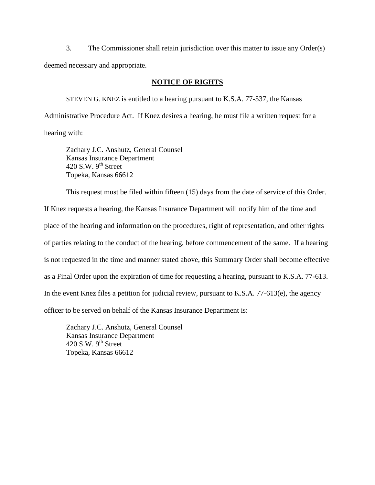3. The Commissioner shall retain jurisdiction over this matter to issue any Order(s) deemed necessary and appropriate.

#### **NOTICE OF RIGHTS**

STEVEN G. KNEZ is entitled to a hearing pursuant to K.S.A. 77-537, the Kansas Administrative Procedure Act. If Knez desires a hearing, he must file a written request for a hearing with:

Zachary J.C. Anshutz, General Counsel Kansas Insurance Department 420 S.W.  $9^{th}$  Street Topeka, Kansas 66612

This request must be filed within fifteen (15) days from the date of service of this Order.

If Knez requests a hearing, the Kansas Insurance Department will notify him of the time and place of the hearing and information on the procedures, right of representation, and other rights of parties relating to the conduct of the hearing, before commencement of the same. If a hearing is not requested in the time and manner stated above, this Summary Order shall become effective as a Final Order upon the expiration of time for requesting a hearing, pursuant to K.S.A. 77-613. In the event Knez files a petition for judicial review, pursuant to K.S.A. 77-613(e), the agency officer to be served on behalf of the Kansas Insurance Department is:

Zachary J.C. Anshutz, General Counsel Kansas Insurance Department 420 S.W.  $9<sup>th</sup>$  Street Topeka, Kansas 66612